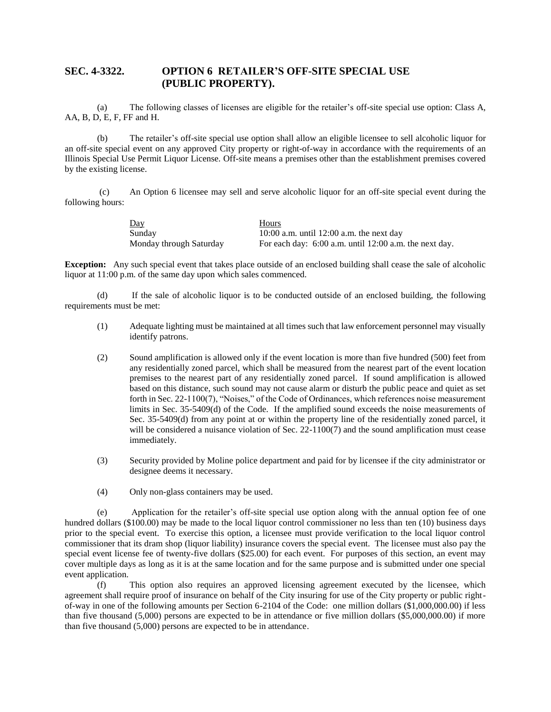## **SEC. 4-3322. OPTION 6 RETAILER'S OFF-SITE SPECIAL USE (PUBLIC PROPERTY).**

(a) The following classes of licenses are eligible for the retailer's off-site special use option: Class A, AA, B, D, E, F, FF and H.

(b) The retailer's off-site special use option shall allow an eligible licensee to sell alcoholic liquor for an off-site special event on any approved City property or right-of-way in accordance with the requirements of an Illinois Special Use Permit Liquor License. Off-site means a premises other than the establishment premises covered by the existing license.

(c) An Option 6 licensee may sell and serve alcoholic liquor for an off-site special event during the following hours:

| $\underline{Day}$       | Hours                                                    |
|-------------------------|----------------------------------------------------------|
| Sunday                  | 10:00 a.m. until 12:00 a.m. the next day                 |
| Monday through Saturday | For each day: $6:00$ a.m. until 12:00 a.m. the next day. |

**Exception:** Any such special event that takes place outside of an enclosed building shall cease the sale of alcoholic liquor at 11:00 p.m. of the same day upon which sales commenced.

(d) If the sale of alcoholic liquor is to be conducted outside of an enclosed building, the following requirements must be met:

- (1) Adequate lighting must be maintained at all times such that law enforcement personnel may visually identify patrons.
- (2) Sound amplification is allowed only if the event location is more than five hundred (500) feet from any residentially zoned parcel, which shall be measured from the nearest part of the event location premises to the nearest part of any residentially zoned parcel. If sound amplification is allowed based on this distance, such sound may not cause alarm or disturb the public peace and quiet as set forth in Sec. 22-1100(7), "Noises," of the Code of Ordinances, which references noise measurement limits in Sec. 35-5409(d) of the Code. If the amplified sound exceeds the noise measurements of Sec. 35-5409(d) from any point at or within the property line of the residentially zoned parcel, it will be considered a nuisance violation of Sec. 22-1100(7) and the sound amplification must cease immediately.
- (3) Security provided by Moline police department and paid for by licensee if the city administrator or designee deems it necessary.
- (4) Only non-glass containers may be used.

(e) Application for the retailer's off-site special use option along with the annual option fee of one hundred dollars (\$100.00) may be made to the local liquor control commissioner no less than ten (10) business days prior to the special event. To exercise this option, a licensee must provide verification to the local liquor control commissioner that its dram shop (liquor liability) insurance covers the special event. The licensee must also pay the special event license fee of twenty-five dollars (\$25.00) for each event. For purposes of this section, an event may cover multiple days as long as it is at the same location and for the same purpose and is submitted under one special event application.

(f) This option also requires an approved licensing agreement executed by the licensee, which agreement shall require proof of insurance on behalf of the City insuring for use of the City property or public rightof-way in one of the following amounts per Section 6-2104 of the Code: one million dollars (\$1,000,000.00) if less than five thousand (5,000) persons are expected to be in attendance or five million dollars (\$5,000,000.00) if more than five thousand (5,000) persons are expected to be in attendance.